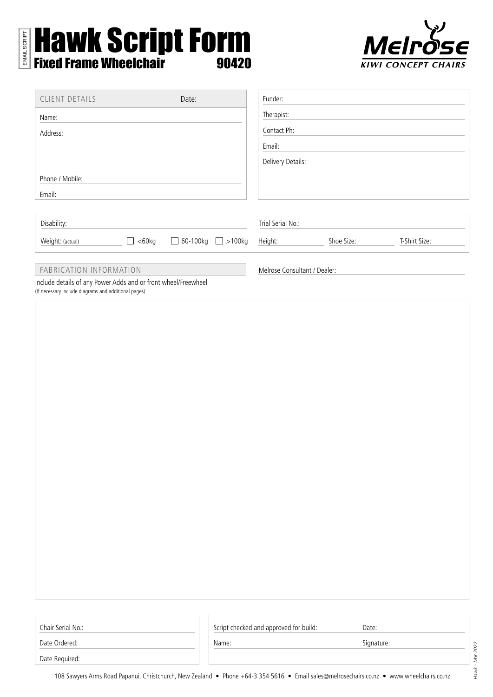# Hawk Script Form Fixed Frame Wheelchair 90420 EMAIL SCRIPT



| <b>CLIENT DETAILS</b>                                                                                                  |              | Date:                         | Funder:                      |            |               |  |
|------------------------------------------------------------------------------------------------------------------------|--------------|-------------------------------|------------------------------|------------|---------------|--|
| Name:                                                                                                                  |              |                               | Therapist:                   |            |               |  |
| Address:                                                                                                               |              |                               | Contact Ph:                  |            |               |  |
|                                                                                                                        |              |                               | Email:                       |            |               |  |
|                                                                                                                        |              |                               | Delivery Details:            |            |               |  |
| Phone / Mobile:                                                                                                        |              |                               |                              |            |               |  |
| Email:                                                                                                                 |              |                               |                              |            |               |  |
|                                                                                                                        |              |                               |                              |            |               |  |
| Disability:                                                                                                            |              |                               | Trial Serial No.:            |            |               |  |
| Weight: (actual)                                                                                                       | $\Box$ <60kg | $\Box$ 60-100kg $\Box$ >100kg | Height:                      | Shoe Size: | T-Shirt Size: |  |
| FABRICATION INFORMATION                                                                                                |              |                               | Melrose Consultant / Dealer: |            |               |  |
| Include details of any Power Adds and or front wheel/Freewheel<br>(If necessary include diagrams and additional pages) |              |                               |                              |            |               |  |

| Chair Serial No.: |  |
|-------------------|--|
|                   |  |

Script checked and approved for build: Date:

Name: Signature:

Date Ordered: Date Required:

*Hawk - Mar 2022*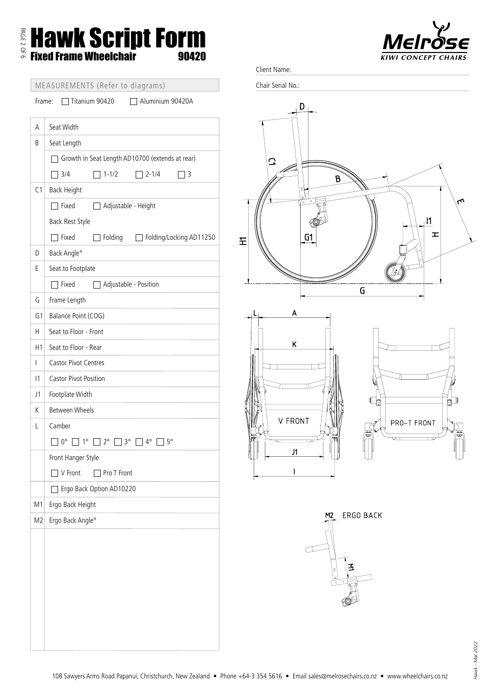# PAGE 2 OF 6 Hawk Script Form Fixed Frame Wheelchair 90420



| MEASUREMENTS (Refer to diagrams) |  |
|----------------------------------|--|
|                                  |  |

Frame: Titanium 90420 Aluminium 90420A

| А              | Seat Width                                                   |  |  |  |  |
|----------------|--------------------------------------------------------------|--|--|--|--|
| B              | Seat Length                                                  |  |  |  |  |
|                | Growth in Seat Length AD10700 (extends at rear)              |  |  |  |  |
|                | 3/4<br>$1 - 1/2$<br>$12 - 1/4$<br>٦3                         |  |  |  |  |
| C <sub>1</sub> | <b>Back Height</b>                                           |  |  |  |  |
|                | $\sqsupset$ Fixed<br>Adjustable - Height                     |  |  |  |  |
|                | Back Rest Style                                              |  |  |  |  |
| D              | $\top$ Fixed<br>Folding<br>Folding/Locking AD11250           |  |  |  |  |
| Е              | Back Angle°<br>Seat to Footplate                             |  |  |  |  |
|                | $\Box$ Fixed<br>Adjustable - Position                        |  |  |  |  |
| G              | Frame Length                                                 |  |  |  |  |
| G1             | Balance Point (COG)                                          |  |  |  |  |
| Н              | Seat to Floor - Front                                        |  |  |  |  |
| H1             | Seat to Floor - Rear                                         |  |  |  |  |
| L              | <b>Castor Pivot Centres</b>                                  |  |  |  |  |
| 1              | <b>Castor Pivot Position</b>                                 |  |  |  |  |
| J1             | Footplate Width                                              |  |  |  |  |
| K              | <b>Between Wheels</b>                                        |  |  |  |  |
| L              | Camber                                                       |  |  |  |  |
|                | $\Box$ 2° $\Box$ 3° $\Box$ 4°<br>1 0°<br>$1^{\circ}$<br>1 5° |  |  |  |  |
|                | Front Hanger Style                                           |  |  |  |  |
|                | V Front<br>Pro T Front                                       |  |  |  |  |
|                | Ergo Back Option AD10220                                     |  |  |  |  |
| M1             | Ergo Back Height                                             |  |  |  |  |
| M <sub>2</sub> | Ergo Back Angle°                                             |  |  |  |  |
|                |                                                              |  |  |  |  |
|                |                                                              |  |  |  |  |
|                |                                                              |  |  |  |  |
|                |                                                              |  |  |  |  |
|                |                                                              |  |  |  |  |
|                |                                                              |  |  |  |  |
|                |                                                              |  |  |  |  |
|                |                                                              |  |  |  |  |

Client Name:

Chair Serial No.:



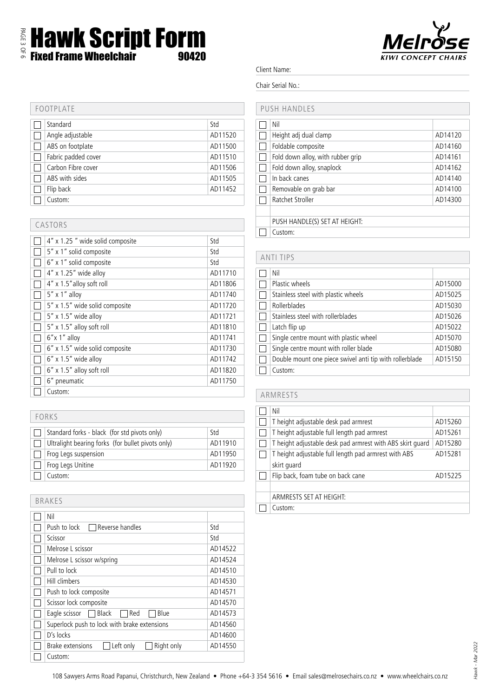

### Client Name:

#### Chair Serial No.:

#### PUSH HANDLES

| Nil                               |         |
|-----------------------------------|---------|
| Height adj dual clamp             | AD14120 |
| Foldable composite                | AD14160 |
| Fold down alloy, with rubber grip | AD14161 |
| Fold down alloy, snaplock         | AD14162 |
| In back canes                     | AD14140 |
| Removable on grab bar             | AD14100 |
| Ratchet Stroller                  | AD14300 |
|                                   |         |
| PUSH HANDLE(S) SET AT HEIGHT:     |         |
| Custom:                           |         |
|                                   |         |

| <b>ANTI TIPS</b> |                                                         |         |  |
|------------------|---------------------------------------------------------|---------|--|
|                  | Nil                                                     |         |  |
|                  | Plastic wheels                                          | AD15000 |  |
|                  | Stainless steel with plastic wheels                     | AD15025 |  |
|                  | Rollerblades                                            | AD15030 |  |
|                  | Stainless steel with rollerblades                       | AD15026 |  |
|                  | Latch flip up                                           | AD15022 |  |
|                  | Single centre mount with plastic wheel                  | AD15070 |  |
|                  | Single centre mount with roller blade                   | AD15080 |  |
|                  | Double mount one piece swivel anti tip with rollerblade | AD15150 |  |
|                  | Custom:                                                 |         |  |

# ARMRESTS

| Nil                                                       |         |
|-----------------------------------------------------------|---------|
| T height adjustable desk pad armrest                      | AD15260 |
| T height adjustable full length pad armrest               | AD15261 |
| T height adjustable desk pad armrest with ABS skirt guard | AD15280 |
| T height adjustable full length pad armrest with ABS      | AD15281 |
| skirt guard                                               |         |
| Flip back, foam tube on back cane                         | AD15225 |
|                                                           |         |
| ARMRESTS SET AT HEIGHT:                                   |         |
| Custom:                                                   |         |

## FOOTPLATE Standard Std Angle adjustable AD11520 ABS on footplate AD11500 Fabric padded cover AD11510 Carbon Fibre cover AD11506 AD11505 Flip back AD11452  $\Box$  Custom:

| CASTORS |                                 |         |  |
|---------|---------------------------------|---------|--|
|         | 4" x 1.25" wide solid composite | Std     |  |
|         | 5" x 1" solid composite         | Std     |  |
|         | 6" x 1" solid composite         | Std     |  |
|         | $4'' \times 1.25''$ wide alloy  | AD11710 |  |
|         | 4" x 1.5" alloy soft roll       | AD11806 |  |
|         | $5'' \times 1''$ alloy          | AD11740 |  |
|         | 5" x 1.5" wide solid composite  | AD11720 |  |
|         | 5" x 1.5" wide alloy            | AD11721 |  |
|         | 5" x 1.5" alloy soft roll       | AD11810 |  |
|         | $6''$ x 1" alloy                | AD11741 |  |
|         | 6" x 1.5" wide solid composite  | AD11730 |  |
|         | $6''$ x 1.5" wide alloy         | AD11742 |  |
|         | $6''$ x 1.5" alloy soft roll    | AD11820 |  |
|         | 6" pneumatic                    | AD11750 |  |
|         | Custom:                         |         |  |

| FORKS |                                                   |         |  |  |
|-------|---------------------------------------------------|---------|--|--|
|       |                                                   |         |  |  |
|       | Standard forks - black (for std pivots only)      | Std     |  |  |
|       | Ultralight bearing forks (for bullet pivots only) | AD11910 |  |  |
|       | Frog Legs suspension                              | AD11950 |  |  |
|       | Frog Legs Unitine                                 | AD11920 |  |  |
|       | Custom:                                           |         |  |  |

| <b>BRAKES</b> |                                              |         |
|---------------|----------------------------------------------|---------|
|               | Nil                                          |         |
|               | Push to lock<br>Reverse handles              | Std     |
|               | Scissor                                      | Std     |
|               | Melrose L scissor                            | AD14522 |
|               | Melrose L scissor w/spring                   | AD14524 |
|               | Pull to lock                                 | AD14510 |
|               | Hill climbers                                | AD14530 |
|               | Push to lock composite                       | AD14571 |
|               | Scissor lock composite                       | AD14570 |
|               | Eagle scissor<br>Red<br>Blue<br>Black        | AD14573 |
|               | Superlock push to lock with brake extensions | AD14560 |
|               | D's locks                                    | AD14600 |
|               | Brake extensions<br>Left only<br>Right only  | AD14550 |
|               | Custom:                                      |         |

*Hawk - Mar 2022*

Hawk - Mar 2022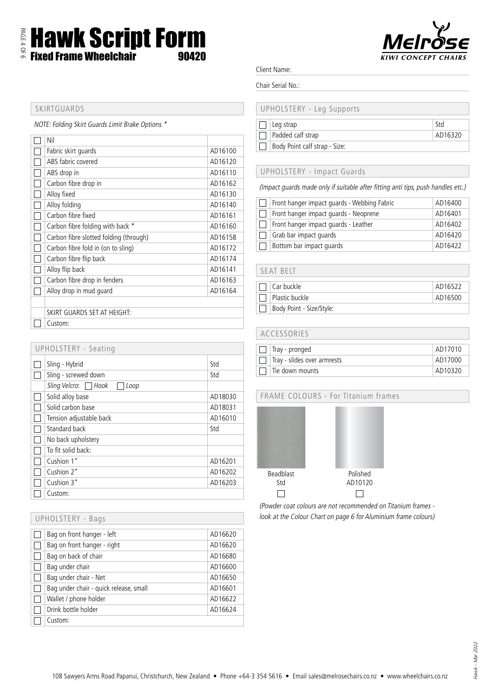Hawk Script Form Fixed Frame Wheelchair 90420



#### Client Name:

#### Chair Serial No.:

# UPHOLSTERY - Leg Supports

| Leg strap                     |         |
|-------------------------------|---------|
| $\Box$ Padded calf strap      | AD16320 |
| Body Point calf strap - Size: |         |

#### UPHOLSTERY - Impact Guards

(Impact guards made only if suitable after fitting anti tips, push handles etc.)

|              | Front hanger impact guards - Webbing Fabric | AD16400 |
|--------------|---------------------------------------------|---------|
|              | Front hanger impact guards - Neoprene       | AD16401 |
| $\mathbf{L}$ | Front hanger impact guards - Leather        | AD16402 |
|              | Grab bar impact quards                      | AD16420 |
|              | Bottom bar impact guards                    | AD16422 |

### SEAT BELT

| Car buckle               | AD16522 |
|--------------------------|---------|
| Plastic buckle           | AD16500 |
| Body Point - Size/Style: |         |

| ACCESSORIES                 |         |  |  |  |
|-----------------------------|---------|--|--|--|
| Tray - pronged              | AD17010 |  |  |  |
| Tray - slides over armrests | AD17000 |  |  |  |
| Tie down mounts             | AD10320 |  |  |  |

# FRAME COLOURS - For Titanium frames



(Powder coat colours are not recommended on Titanium frames look at the Colour Chart on page 6 for Aluminium frame colours)

# SKIRTGUARDS

PAGE 4 OF 6

NOTE: Folding Skirt Guards Limit Brake Options \*

| Nil                                    |         |
|----------------------------------------|---------|
| Fabric skirt quards                    | AD16100 |
| ABS fabric covered                     | AD16120 |
| ABS drop in                            | AD16110 |
| Carbon fibre drop in                   | AD16162 |
| Alloy fixed                            | AD16130 |
| Alloy folding                          | AD16140 |
| Carbon fibre fixed                     | AD16161 |
| Carbon fibre folding with back *       | AD16160 |
| Carbon fibre slotted folding (through) | AD16158 |
| Carbon fibre fold in (on to sling)     | AD16172 |
| Carbon fibre flip back                 | AD16174 |
| Alloy flip back                        | AD16141 |
| Carbon fibre drop in fenders           | AD16163 |
| Alloy drop in mud quard                | AD16164 |
|                                        |         |
| SKIRT GUARDS SET AT HEIGHT:            |         |
| Custom:                                |         |

| <b>UPHOLSTERY - Seating</b> |                              |         |  |  |
|-----------------------------|------------------------------|---------|--|--|
|                             | Sling - Hybrid               | Std     |  |  |
|                             | Sling - screwed down         | Std     |  |  |
|                             | Sling Velcro: Hook<br>  Loop |         |  |  |
|                             | Solid alloy base             | AD18030 |  |  |
|                             | Solid carbon base            | AD18031 |  |  |
|                             | Tension adjustable back      | AD16010 |  |  |
|                             | Standard back                | Std     |  |  |
|                             | No back upholstery           |         |  |  |
|                             | To fit solid back:           |         |  |  |
|                             | Cushion 1"                   | AD16201 |  |  |
|                             | Cushion 2"                   | AD16202 |  |  |
|                             | Cushion 3"                   | AD16203 |  |  |
|                             | Custom:                      |         |  |  |

| UPHOLSTERY - Bags                      |         |
|----------------------------------------|---------|
| Bag on front hanger - left             | AD16620 |
| Bag on front hanger - right            | AD16620 |
| Bag on back of chair                   | AD16680 |
| Bag under chair                        | AD16600 |
| Bag under chair - Net                  | AD16650 |
| Bag under chair - quick release, small | AD16601 |
| Wallet / phone holder                  | AD16622 |
| Drink bottle holder                    | AD16624 |
| Custom:                                |         |

Hawk - Mar 2022 *Hawk - Mar 2022*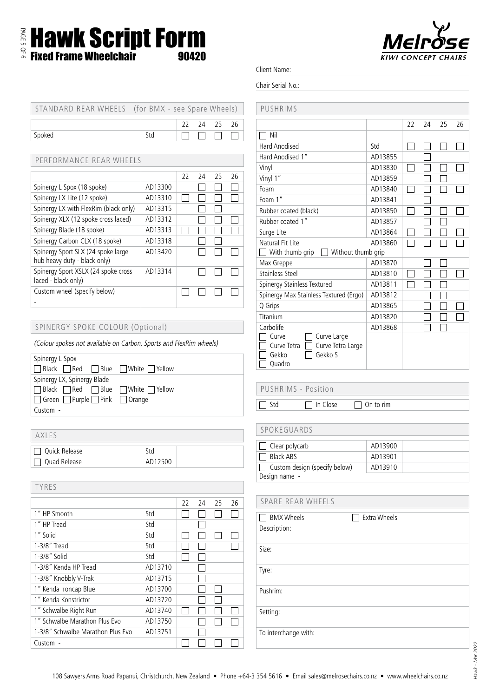# PAGE 5 OF 6 Hawk Script Form Fixed Frame Wheelchair 90420



Client Name:

Chair Serial No.:

| STANDARD REAR WHEELS (for BMX - see Spare Wheels) |     |  |             |  |
|---------------------------------------------------|-----|--|-------------|--|
|                                                   |     |  | 22 24 25 26 |  |
| Spoked                                            | Std |  |             |  |
|                                                   |     |  |             |  |

### PERFORMANCE REAR WHEELS

|                                                                    |         | 22 | 24 | 25 | 26 |
|--------------------------------------------------------------------|---------|----|----|----|----|
| Spinergy L Spox (18 spoke)                                         | AD13300 |    |    |    |    |
| Spinergy LX Lite (12 spoke)                                        | AD13310 |    |    |    |    |
| Spinergy LX with FlexRim (black only)                              | AD13315 |    |    |    |    |
| Spinergy XLX (12 spoke cross laced)                                | AD13312 |    |    |    |    |
| Spinergy Blade (18 spoke)                                          | AD13313 |    |    |    |    |
| Spinergy Carbon CLX (18 spoke)                                     | AD13318 |    |    |    |    |
| Spinergy Sport SLX (24 spoke large<br>hub heavy duty - black only) | AD13420 |    |    |    |    |
| Spinergy Sport XSLX (24 spoke cross<br>laced - black only)         | AD13314 |    |    |    |    |
| Custom wheel (specify below)                                       |         |    |    |    |    |

### SPINERGY SPOKE COLOUR (Optional)

(Colour spokes not available on Carbon, Sports and FlexRim wheels)

| Spinergy L Spox                                      |  |  |
|------------------------------------------------------|--|--|
| □ Black □ Red □ Blue □ White □ Yellow                |  |  |
| Spinergy LX, Spinergy Blade                          |  |  |
| Black Red Blue White PYellow                         |  |  |
| $\Box$ Green $\Box$ Purple $\Box$ Pink $\Box$ Orange |  |  |
| Custom -                                             |  |  |
|                                                      |  |  |

| <b>AXIFS</b>    |         |  |
|-----------------|---------|--|
| 7 Quick Release | Std     |  |
| Quad Release    | AD12500 |  |

| <b>TYRES</b>                      |         |    |    |    |    |
|-----------------------------------|---------|----|----|----|----|
|                                   |         | 22 | 24 | 25 | 26 |
| 1" HP Smooth                      | Std     |    |    |    |    |
| 1" HP Tread                       | Std     |    |    |    |    |
| 1" Solid                          | Std     |    |    |    |    |
| 1-3/8" Tread                      | Std     |    |    |    |    |
| $1-3/8"$ Solid                    | Std     |    |    |    |    |
| 1-3/8" Kenda HP Tread             | AD13710 |    |    |    |    |
| 1-3/8" Knobbly V-Trak             | AD13715 |    |    |    |    |
| 1" Kenda Ironcap Blue             | AD13700 |    |    |    |    |
| 1" Kenda Konstrictor              | AD13720 |    |    |    |    |
| 1" Schwalbe Right Run             | AD13740 |    |    |    |    |
| 1" Schwalbe Marathon Plus Evo     | AD13750 |    |    |    |    |
| 1-3/8" Schwalbe Marathon Plus Evo | AD13751 |    |    |    |    |
| Custom -                          |         |    |    |    |    |

| PUSHRIMS                               |         |    |    |    |    |
|----------------------------------------|---------|----|----|----|----|
|                                        |         | 22 | 24 | 25 | 26 |
| Nil                                    |         |    |    |    |    |
| Hard Anodised                          | Std     |    |    |    |    |
| Hard Anodised 1"                       | AD13855 |    |    |    |    |
| Vinyl                                  | AD13830 |    |    |    |    |
| Vinyl 1"                               | AD13859 |    |    |    |    |
| Foam                                   | AD13840 |    |    |    |    |
| Foam 1"                                | AD13841 |    |    |    |    |
| Rubber coated (black)                  | AD13850 |    |    |    |    |
| Rubber coated 1"                       | AD13857 |    |    |    |    |
| Surge Lite                             | AD13864 |    |    |    |    |
| Natural Fit Lite                       | AD13860 |    |    |    |    |
| Without thumb grip<br>With thumb grip  |         |    |    |    |    |
| Max Greppe                             | AD13870 |    |    |    |    |
| <b>Stainless Steel</b>                 | AD13810 |    |    |    |    |
| Spinergy Stainless Textured            | AD13811 |    |    |    |    |
| Spinergy Max Stainless Textured (Ergo) | AD13812 |    |    |    |    |
| Q Grips                                | AD13865 |    |    |    |    |
| Titanium                               | AD13820 |    |    |    |    |
| Carbolife                              | AD13868 |    |    |    |    |
| Curve<br>Curve Large                   |         |    |    |    |    |
| Curve Tetra Large<br>Curve Tetra       |         |    |    |    |    |

## PUSHRIMS - Position

 $\overline{\Box}$  Gekko  $\overline{\Box}$  Gekko S

Quadro

□ Std In Close On to rim

#### SPOKEGUARDS

| $\vert \vert$ Clear polycarb         | AD13900 |
|--------------------------------------|---------|
| $\Box$ Black ABS                     | AD13901 |
| $\Box$ Custom design (specify below) | AD13910 |
| Design name -                        |         |

### SPARE REAR WHEELS

| <b>BMX Wheels</b>    | <b>Extra Wheels</b> |
|----------------------|---------------------|
| Description:         |                     |
| Size:                |                     |
| Tyre:                |                     |
| Pushrim:             |                     |
| Setting:             |                     |
| To interchange with: |                     |